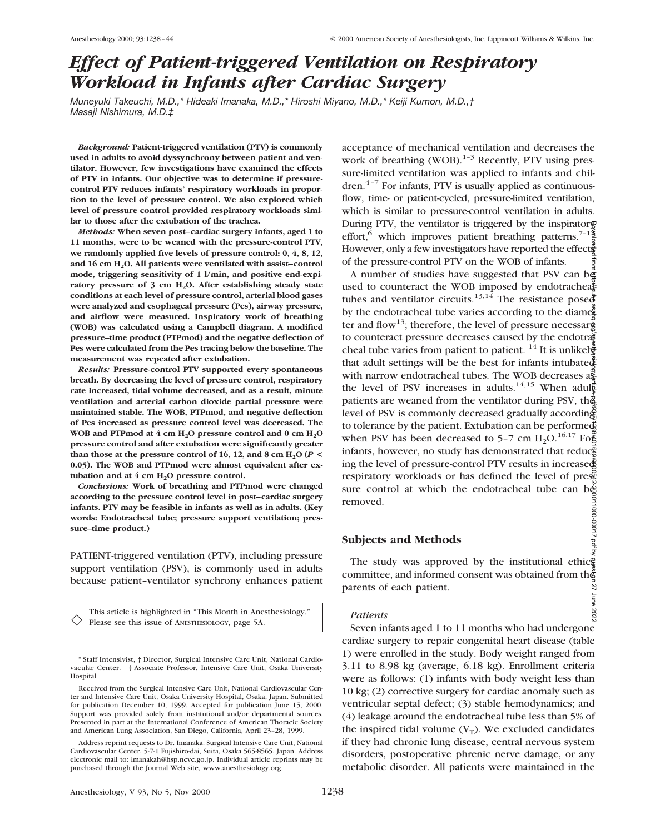# *Effect of Patient-triggered Ventilation on Respiratory Workload in Infants after Cardiac Surgery*

*Muneyuki Takeuchi, M.D.,\* Hideaki Imanaka, M.D.,\* Hiroshi Miyano, M.D.,\* Keiji Kumon, M.D.,† Masaji Nishimura, M.D.‡*

*Background:* **Patient-triggered ventilation (PTV) is commonly used in adults to avoid dyssynchrony between patient and ventilator. However, few investigations have examined the effects of PTV in infants. Our objective was to determine if pressurecontrol PTV reduces infants' respiratory workloads in proportion to the level of pressure control. We also explored which level of pressure control provided respiratory workloads similar to those after the extubation of the trachea.**

*Methods:* **When seven post–cardiac surgery infants, aged 1 to 11 months, were to be weaned with the pressure-control PTV, we randomly applied five levels of pressure control: 0, 4, 8, 12, and 16 cm H2O. All patients were ventilated with assist–control mode, triggering sensitivity of 1 l/min, and positive end-expi**ratory pressure of 3 cm H<sub>2</sub>O. After establishing steady state **conditions at each level of pressure control, arterial blood gases were analyzed and esophageal pressure (Pes), airway pressure, and airflow were measured. Inspiratory work of breathing (WOB) was calculated using a Campbell diagram. A modified pressure–time product (PTPmod) and the negative deflection of Pes were calculated from the Pes tracing below the baseline. The measurement was repeated after extubation.**

*Results:* **Pressure-control PTV supported every spontaneous breath. By decreasing the level of pressure control, respiratory rate increased, tidal volume decreased, and as a result, minute ventilation and arterial carbon dioxide partial pressure were maintained stable. The WOB, PTPmod, and negative deflection of Pes increased as pressure control level was decreased. The WOB and PTPmod at 4 cm H2O pressure control and 0 cm H2O pressure control and after extubation were significantly greater than those at the pressure control of 16, 12, and 8 cm**  $H_2O$  **(** $P \le$ **0.05). The WOB and PTPmod were almost equivalent after ex**tubation and at 4 cm H<sub>2</sub>O pressure control.

*Conclusions:* **Work of breathing and PTPmod were changed according to the pressure control level in post–cardiac surgery infants. PTV may be feasible in infants as well as in adults. (Key words: Endotracheal tube; pressure support ventilation; pressure–time product.)**

PATIENT-triggered ventilation (PTV), including pressure support ventilation (PSV), is commonly used in adults because patient–ventilator synchrony enhances patient

This article is highlighted in "This Month in Anesthesiology." Please see this issue of ANESTHESIOLOGY, page 5A.

acceptance of mechanical ventilation and decreases the work of breathing  $(WOB)$ .<sup>1–3</sup> Recently, PTV using pressure-limited ventilation was applied to infants and chil $d$ ren.<sup>4–7</sup> For infants, PTV is usually applied as continuousflow, time- or patient-cycled, pressure-limited ventilation, which is similar to pressure-control ventilation in adults. During PTV, the ventilator is triggered by the inspiratory effort, which improves patient breathing patterns.<sup>7-12</sup> However, only a few investigators have reported the effects of the pressure-control PTV on the WOB of infants.

A number of studies have suggested that PSV can be used to counteract the WOB imposed by endotracheal tubes and ventilator circuits.<sup>13,14</sup> The resistance posed by the endotracheal tube varies according to the diameter and flow<sup>13</sup>; therefore, the level of pressure necessary to counteract pressure decreases caused by the endotra $\frac{1}{2}$ cheal tube varies from patient to patient. <sup>14</sup> It is unlikel $\frac{\dot{\mathcal{C}}}{\dot{\mathcal{C}}}$ that adult settings will be the best for infants intubated with narrow endotracheal tubes. The WOB decreases as the level of PSV increases in adults.<sup>14,15</sup> When adults patients are weaned from the ventilator during PSV, the level of PSV is commonly decreased gradually according to tolerance by the patient. Extubation can be performed when PSV has been decreased to 5-7 cm  $H_2O$ .<sup>16,17</sup> For infants, however, no study has demonstrated that reduceing the level of pressure-control PTV results in increase respiratory workloads or has defined the level of press sure control at which the endotracheal tube can be removed. Downloaded from http://pubs.asahq.org/anesthesiology/article-pdf/93/5/1238/401649/0000542-200011000-00017.pdf by guest on 27 June 2022

# **Subjects and Methods**

The study was approved by the institutional ethics committee, and informed consent was obtained from the  $\overline{z}$ parents of each patient. June 2022

#### *Patients*

Seven infants aged 1 to 11 months who had undergone cardiac surgery to repair congenital heart disease (table 1) were enrolled in the study. Body weight ranged from 3.11 to 8.98 kg (average, 6.18 kg). Enrollment criteria were as follows: (1) infants with body weight less than 10 kg; (2) corrective surgery for cardiac anomaly such as ventricular septal defect; (3) stable hemodynamics; and (4) leakage around the endotracheal tube less than 5% of the inspired tidal volume  $(V_T)$ . We excluded candidates if they had chronic lung disease, central nervous system disorders, postoperative phrenic nerve damage, or any metabolic disorder. All patients were maintained in the

<sup>\*</sup> Staff Intensivist, † Director, Surgical Intensive Care Unit, National Cardiovacular Center. ‡ Associate Professor, Intensive Care Unit, Osaka University Hospital.

Received from the Surgical Intensive Care Unit, National Cardiovascular Center and Intensive Care Unit, Osaka University Hospital, Osaka, Japan. Submitted for publication December 10, 1999. Accepted for publication June 15, 2000. Support was provided solely from institutional and/or departmental sources. Presented in part at the International Conference of American Thoracic Society and American Lung Association, San Diego, California, April 23–28, 1999.

Address reprint requests to Dr. Imanaka: Surgical Intensive Care Unit, National Cardiovascular Center, 5-7-1 Fujishiro-dai, Suita, Osaka 565-8565, Japan. Address electronic mail to: imanakah@hsp.ncvc.go.jp. Individual article reprints may be purchased through the Journal Web site, www.anesthesiology.org.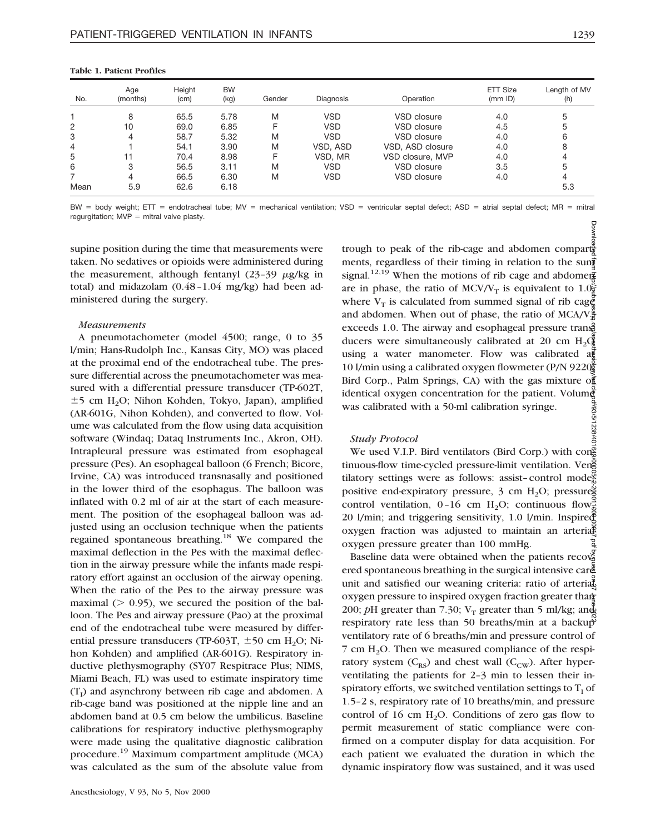## **Table 1. Patient Profiles**

| No.  | Age<br>(months) | Height<br>(c <sub>m</sub> ) | <b>BW</b><br>(kg) | Gender | Diagnosis  | Operation          | ETT Size<br>(mmID) | Length of MV<br>(h) |
|------|-----------------|-----------------------------|-------------------|--------|------------|--------------------|--------------------|---------------------|
|      | 8               | 65.5                        | 5.78              | M      | VSD        | VSD closure        | 4.0                | 5                   |
| 2    | 10              | 69.0                        | 6.85              |        | <b>VSD</b> | VSD closure        | 4.5                | 5                   |
| 3    | 4               | 58.7                        | 5.32              | M      | VSD        | VSD closure        | 4.0                | 6                   |
| 4    |                 | 54.1                        | 3.90              | M      | VSD, ASD   | VSD, ASD closure   | 4.0                | 8                   |
| 5    | 11              | 70.4                        | 8.98              |        | VSD. MR    | VSD closure, MVP   | 4.0                |                     |
| 6    | 3               | 56.5                        | 3.11              | M      | VSD        | <b>VSD</b> closure | 3.5                | 5                   |
|      | 4               | 66.5                        | 6.30              | M      | VSD        | VSD closure        | 4.0                |                     |
| Mean | 5.9             | 62.6                        | 6.18              |        |            |                    |                    | 5.3                 |

 $BW = body weight$ ; ETT = endotracheal tube; MV = mechanical ventilation; VSD = ventricular septal defect; ASD = atrial septal defect; MR = mitral regurgitation;  $MVP =$  mitral valve plasty.

supine position during the time that measurements were taken. No sedatives or opioids were administered during the measurement, although fentanyl  $(23-39 \mu g/kg)$  in total) and midazolam (0.48–1.04 mg/kg) had been administered during the surgery.

## *Measurements*

A pneumotachometer (model 4500; range, 0 to 35 l/min; Hans-Rudolph Inc., Kansas City, MO) was placed at the proximal end of the endotracheal tube. The pressure differential across the pneumotachometer was measured with a differential pressure transducer (TP-602T,  $\pm$ 5 cm H<sub>2</sub>O; Nihon Kohden, Tokyo, Japan), amplified (AR-601G, Nihon Kohden), and converted to flow. Volume was calculated from the flow using data acquisition software (Windaq; Dataq Instruments Inc., Akron, OH). Intrapleural pressure was estimated from esophageal pressure (Pes). An esophageal balloon (6 French; Bicore, Irvine, CA) was introduced transnasally and positioned in the lower third of the esophagus. The balloon was inflated with 0.2 ml of air at the start of each measurement. The position of the esophageal balloon was adjusted using an occlusion technique when the patients regained spontaneous breathing.18 We compared the maximal deflection in the Pes with the maximal deflection in the airway pressure while the infants made respiratory effort against an occlusion of the airway opening. When the ratio of the Pes to the airway pressure was maximal ( $> 0.95$ ), we secured the position of the balloon. The Pes and airway pressure (Pao) at the proximal end of the endotracheal tube were measured by differential pressure transducers (TP-603T,  $\pm$ 50 cm H<sub>2</sub>O; Nihon Kohden) and amplified (AR-601G). Respiratory inductive plethysmography (SY07 Respitrace Plus; NIMS, Miami Beach, FL) was used to estimate inspiratory time  $(T<sub>I</sub>)$  and asynchrony between rib cage and abdomen. A rib-cage band was positioned at the nipple line and an abdomen band at 0.5 cm below the umbilicus. Baseline calibrations for respiratory inductive plethysmography were made using the qualitative diagnostic calibration procedure.19 Maximum compartment amplitude (MCA) was calculated as the sum of the absolute value from

trough to peak of the rib-cage and abdomen compartments, regardless of their timing in relation to the sum signal.<sup>12,19</sup> When the motions of rib cage and abdomen are in phase, the ratio of MCV/V<sub>T</sub> is equivalent to 1.0 $\frac{3}{2}$ where  $V_T$  is calculated from summed signal of rib cage and abdomen. When out of phase, the ratio of MCA/V $\frac{3}{5}$ exceeds 1.0. The airway and esophageal pressure transducers were simultaneously calibrated at 20 cm  $H_2Q^*$ using a water manometer. Flow was calibrated a 10 l/min using a calibrated oxygen flowmeter (P/N 9220; Bird Corp., Palm Springs, CA) with the gas mixture  $\delta$ . identical oxygen concentration for the patient. Volume was calibrated with a 50-ml calibration syringe. Downloaded from http://pubs.asahq.org/anesthesiology/article-pdf/93/5/1238/401649/0000542-200011000-00017.pdf by guest on 27 June 2022

## *Study Protocol*

We used V.I.P. Bird ventilators (Bird Corp.) with  $\text{con}^{\mathbb{R}}$ tinuous-flow time-cycled pressure-limit ventilation. Ventilatory settings were as follows: assist-control mode<sup>9</sup> positive end-expiratory pressure,  $3 \text{ cm } H_2O$ ; pressuregened control ventilation, 0-16 cm H<sub>2</sub>O; continuous flow $\frac{1}{6}$ 20 l/min; and triggering sensitivity, 1.0 l/min. Inspired oxygen fraction was adjusted to maintain an arterial oxygen pressure greater than 100 mmHg.

Baseline data were obtained when the patients  $reco\check{\mathbf{c}}$ ered spontaneous breathing in the surgical intensive care unit and satisfied our weaning criteria: ratio of arterial oxygen pressure to inspired oxygen fraction greater than 200; *pH* greater than 7.30; V<sub>T</sub> greater than 5 ml/kg; and respiratory rate less than 50 breaths/min at a backup ventilatory rate of 6 breaths/min and pressure control of  $7 \text{ cm H}_2\text{O}$ . Then we measured compliance of the respiratory system  $(C_{RS})$  and chest wall  $(C_{CW})$ . After hyperventilating the patients for 2–3 min to lessen their inspiratory efforts, we switched ventilation settings to  $T_I$  of 1.5–2 s, respiratory rate of 10 breaths/min, and pressure control of 16 cm  $H_2O$ . Conditions of zero gas flow to permit measurement of static compliance were confirmed on a computer display for data acquisition. For each patient we evaluated the duration in which the dynamic inspiratory flow was sustained, and it was used

Downlc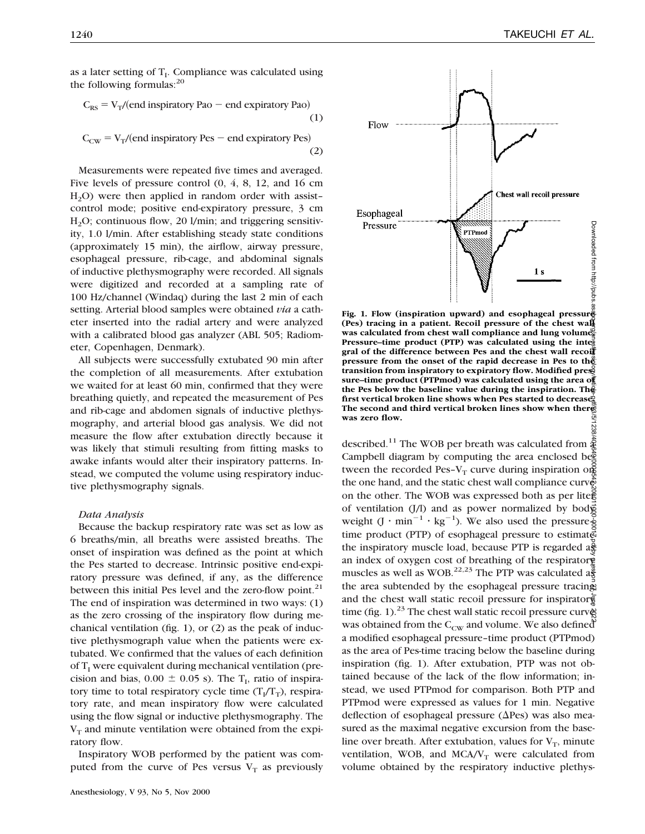as a later setting of  $T_I$ . Compliance was calculated using the following formulas: $^{20}$ 

$$
C_{RS} = V_T / (end \text{inspiratory Pao} - end \text{ expiratory Pao})
$$
\n(1)\n
$$
C_{CW} = V_T / (end \text{inspiratory Pes} - end \text{ expiratory Pes})
$$
\n(2)

Measurements were repeated five times and averaged. Five levels of pressure control (0, 4, 8, 12, and 16 cm  $H<sub>2</sub>O$ ) were then applied in random order with assistcontrol mode; positive end-expiratory pressure, 3 cm  $H<sub>2</sub>O$ ; continuous flow, 20 l/min; and triggering sensitivity, 1.0 l/min. After establishing steady state conditions (approximately 15 min), the airflow, airway pressure, esophageal pressure, rib-cage, and abdominal signals of inductive plethysmography were recorded. All signals were digitized and recorded at a sampling rate of 100 Hz/channel (Windaq) during the last 2 min of each setting. Arterial blood samples were obtained *via* a catheter inserted into the radial artery and were analyzed with a calibrated blood gas analyzer (ABL 505; Radiometer, Copenhagen, Denmark).

All subjects were successfully extubated 90 min after the completion of all measurements. After extubation we waited for at least 60 min, confirmed that they were breathing quietly, and repeated the measurement of Pes and rib-cage and abdomen signals of inductive plethysmography, and arterial blood gas analysis. We did not measure the flow after extubation directly because it was likely that stimuli resulting from fitting masks to awake infants would alter their inspiratory patterns. Instead, we computed the volume using respiratory inductive plethysmography signals.

#### *Data Analysis*

Because the backup respiratory rate was set as low as 6 breaths/min, all breaths were assisted breaths. The onset of inspiration was defined as the point at which the Pes started to decrease. Intrinsic positive end-expiratory pressure was defined, if any, as the difference between this initial Pes level and the zero-flow point. $21$ The end of inspiration was determined in two ways: (1) as the zero crossing of the inspiratory flow during mechanical ventilation (fig. 1), or (2) as the peak of inductive plethysmograph value when the patients were extubated. We confirmed that the values of each definition of  $T<sub>I</sub>$  were equivalent during mechanical ventilation (precision and bias,  $0.00 \pm 0.05$  s). The T<sub>I</sub>, ratio of inspiratory time to total respiratory cycle time  $(T_1/T_T)$ , respiratory rate, and mean inspiratory flow were calculated using the flow signal or inductive plethysmography. The  $V<sub>T</sub>$  and minute ventilation were obtained from the expiratory flow.

Inspiratory WOB performed by the patient was computed from the curve of Pes versus  $V_T$  as previously



Downloaded from http://pubs.a **Fig. 1. Flow (inspiration upward) and esophageal pressure (Pes) tracing in a patient. Recoil pressure of the chest wall was calculated from chest wall compliance and lung volume.** Pressure–time product (PTP) was calculated using the integ **gral of the difference between Pes and the chest wall recoil pressure from the onset of the rapid decrease in Pes to the transition from inspiratory to expiratory flow. Modified pressure–time product (PTPmod) was calculated using the area of the Pes below the baseline value during the inspiration. The first vertical broken line shows when Pes started to decrease. The second and third vertical broken lines show when there**<br>was zero flow. **was zero flow.**

described.<sup>11</sup> The WOB per breath was calculated from  $\frac{3}{8}$ Campbell diagram by computing the area enclosed be $\frac{2}{5}$ tween the recorded Pes–V<sub>T</sub> curve during inspiration on the one hand, and the static chest wall compliance curves on the other. The WOB was expressed both as per lite<sup>g</sup> of ventilation  $(J/I)$  and as power normalized by bodg weight  $(I \cdot min^{-1} \cdot kg^{-1})$ . We also used the pressure $\frac{5}{5}$ time product (PTP) of esophageal pressure to estimate the inspiratory muscle load, because PTP is regarded as an index of oxygen cost of breathing of the respirators muscles as well as WOB.<sup>22,23</sup> The PTP was calculated as the area subtended by the esophageal pressure tracing and the chest wall static recoil pressure for inspirators time (fig. 1).<sup>23</sup> The chest wall static recoil pressure curved was obtained from the  $C_{\text{CW}}$  and volume. We also defined a modified esophageal pressure–time product (PTPmod) as the area of Pes-time tracing below the baseline during inspiration (fig. 1). After extubation, PTP was not obtained because of the lack of the flow information; instead, we used PTPmod for comparison. Both PTP and PTPmod were expressed as values for 1 min. Negative deflection of esophageal pressure ( $\Delta$ Pes) was also measured as the maximal negative excursion from the baseline over breath. After extubation, values for  $V_T$ , minute ventilation, WOB, and MCA/ $V_T$  were calculated from volume obtained by the respiratory inductive plethys-Downloaded from http://pubs.asa**hce**y/article-pdf/94/1238/404/00009542-402/20001100012012.pdf by guest on 27 June 2022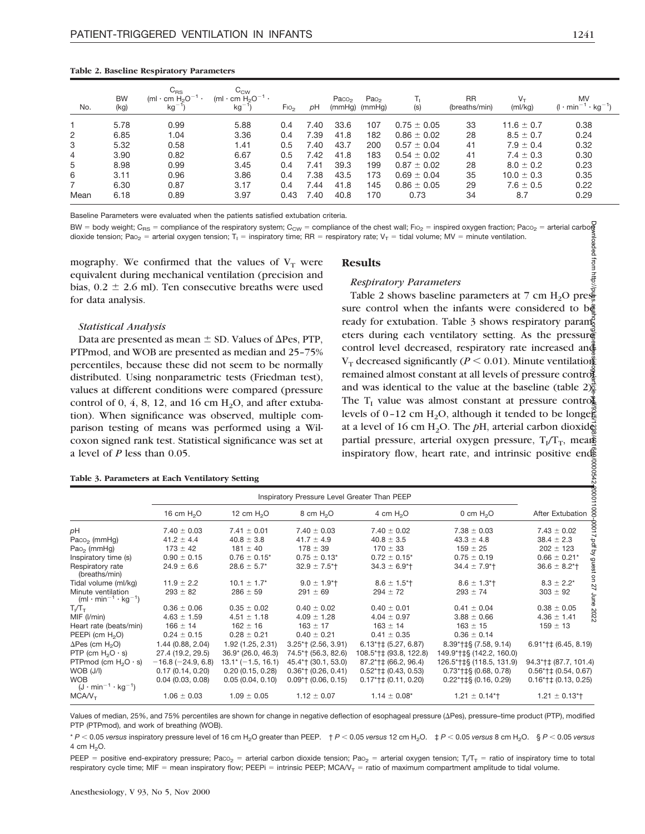| No.  | <b>BW</b><br>(kg) | $\cup_{\rm RS}$<br>(ml $\cdot$ cm H <sub>2</sub> O <sup>-1</sup> $\cdot$<br>kg | ⊳∽<br>(ml $\cdot$ cm $H_2O^{-1}$ $\cdot$<br>$kg^{-1}$ | FIO <sub>2</sub> | рH   | Paco <sub>2</sub> | Pa <sub>o</sub><br>$(mmHg)$ $(mmHg)$ | (s)             | <b>RR</b><br>(breaths/min) | $V_{\rm T}$<br>(mI/kg) | <b>MV</b><br>$(l \cdot min^{-1} \cdot kg^{-1})$ |
|------|-------------------|--------------------------------------------------------------------------------|-------------------------------------------------------|------------------|------|-------------------|--------------------------------------|-----------------|----------------------------|------------------------|-------------------------------------------------|
|      | 5.78              | 0.99                                                                           | 5.88                                                  | 0.4              | 7.40 | 33.6              | 107                                  | $0.75 \pm 0.05$ | 33                         | $11.6 \pm 0.7$         | 0.38                                            |
| 2    | 6.85              | 1.04                                                                           | 3.36                                                  | 0.4              | 7.39 | 41.8              | 182                                  | $0.86 \pm 0.02$ | 28                         | $8.5 \pm 0.7$          | 0.24                                            |
| 3    | 5.32              | 0.58                                                                           | 1.41                                                  | 0.5              | 7.40 | 43.7              | 200                                  | $0.57 \pm 0.04$ | 41                         | $7.9 \pm 0.4$          | 0.32                                            |
| 4    | 3.90              | 0.82                                                                           | 6.67                                                  | 0.5              | 7.42 | 41.8              | 183                                  | $0.54 \pm 0.02$ | 41                         | $7.4 \pm 0.3$          | 0.30                                            |
| 5    | 8.98              | 0.99                                                                           | 3.45                                                  | 0.4              | 7.41 | 39.3              | 199                                  | $0.87 \pm 0.02$ | 28                         | $8.0 \pm 0.2$          | 0.23                                            |
| 6    | 3.11              | 0.96                                                                           | 3.86                                                  | 0.4              | 7.38 | 43.5              | 173                                  | $0.69 \pm 0.04$ | 35                         | $10.0 \pm 0.3$         | 0.35                                            |
|      | 6.30              | 0.87                                                                           | 3.17                                                  | 0.4              | 7.44 | 41.8              | 145                                  | $0.86 \pm 0.05$ | 29                         | $7.6 \pm 0.5$          | 0.22                                            |
| Mean | 6.18              | 0.89                                                                           | 3.97                                                  | 0.43             | 7.40 | 40.8              | 170                                  | 0.73            | 34                         | 8.7                    | 0.29                                            |

#### **Table 2. Baseline Respiratory Parameters**

Baseline Parameters were evaluated when the patients satisfied extubation criteria.

BW = body weight; C<sub>RS</sub> = compliance of the respiratory system; C<sub>CW</sub> = compliance of the chest wall; Fio<sub>2</sub> = inspired oxygen fraction; Paco<sub>2</sub> = arterial carbo**g** dioxide tension; Pao<sub>2</sub> = arterial oxygen tension; T<sub>I</sub> = inspiratory time; RR = respiratory rate; V<sub>T</sub> = tidal volume; MV = minute ventilation.

mography. We confirmed that the values of  $V_T$  were equivalent during mechanical ventilation (precision and bias,  $0.2 \pm 2.6$  ml). Ten consecutive breaths were used for data analysis.

## *Statistical Analysis*

Data are presented as mean  $\pm$  SD. Values of  $\Delta$ Pes, PTP, PTPmod, and WOB are presented as median and 25–75% percentiles, because these did not seem to be normally distributed. Using nonparametric tests (Friedman test), values at different conditions were compared (pressure control of 0, 4, 8, 12, and 16 cm  $H_2O$ , and after extubation). When significance was observed, multiple comparison testing of means was performed using a Wilcoxon signed rank test. Statistical significance was set at a level of *P* less than 0.05.

# **Results**

## *Respiratory Parameters*

Table 2 shows baseline parameters at 7 cm  $\rm H_2O$  pres $\frac{2}{9}$ sure control when the infants were considered to be ready for extubation. Table 3 shows respiratory parameters eters during each ventilatory setting. As the pressure control level decreased, respiratory rate increased and  $V_T$  decreased significantly (*P* < 0.01). Minute ventilation remained almost constant at all levels of pressure control and was identical to the value at the baseline (table  $2\frac{5}{8}$ ) The  $T_1$  value was almost constant at pressure control levels of 0–12 cm H<sub>2</sub>O, although it tended to be longered at a level of 16 cm H2O. The *p*H, arterial carbon dioxide partial pressure, arterial oxygen pressure,  $T_I/T_T$ , mean inspiratory flow, heart rate, and intrinsic positive end $\mathcal{E}$ Dewnloaded from http://pubs.asahq.org/anesthes#drige-adf/93/5/1238/40169/000542+94/0000011000011000011000012.pdf by guest on 27 June 2022

|  | Table 3. Parameters at Each Ventilatory Setting |  |  |  |
|--|-------------------------------------------------|--|--|--|
|--|-------------------------------------------------|--|--|--|

|                                                           | 16 cm $H2O$         | 12 cm $H2O$          | $8 \text{ cm } H2O$                | 4 cm $H2O$                                          | 0 cm $H2O$                                 | After Extubation 8                                  |
|-----------------------------------------------------------|---------------------|----------------------|------------------------------------|-----------------------------------------------------|--------------------------------------------|-----------------------------------------------------|
| рH                                                        | $7.40 \pm 0.03$     | $7.41 \pm 0.01$      | $7.40 \pm 0.03$                    | $7.40 \pm 0.02$                                     | $7.38 \pm 0.03$                            | $7.43 \pm 0.02$                                     |
| Paco <sub>2</sub> (mmHg)                                  | $41.2 \pm 4.4$      | $40.8 \pm 3.8$       | $41.7 \pm 4.9$                     | $40.8 \pm 3.5$                                      | $43.3 \pm 4.8$                             | $38.4 \pm 2.3$                                      |
| Pao <sub>2</sub> (mmHg)                                   | $173 \pm 42$        | $181 \pm 40$         | $178 \pm 39$                       | $170 \pm 33$                                        | $159 \pm 25$                               | ka µpd<br>$202 \pm 123$                             |
| Inspiratory time (s)                                      | $0.90 \pm 0.15$     | $0.76 \pm 0.15^*$    | $0.75 \pm 0.13$ <sup>*</sup>       | $0.72 \pm 0.15$ <sup>*</sup>                        | $0.75 \pm 0.19$                            | $0.66 \pm 0.21*$<br>$\Omega$                        |
| Respiratory rate<br>(breaths/min)                         | $24.9 \pm 6.6$      | $28.6 \pm 5.7^*$     | $32.9 \pm 7.5$ <sup>*</sup> t      | $34.3 \pm 6.9$ <sup>*</sup> t                       | $34.4 \pm 7.9$ <sup>*</sup> t              | $36.6 \pm 8.2$ <sup>*</sup>                         |
| Tidal volume (ml/kg)                                      | $11.9 \pm 2.2$      | $10.1 \pm 1.7^*$     | $9.0 \pm 1.9$ <sup>*</sup> t       | $8.6 \pm 1.5$ <sup>*</sup>                          | $8.6 \pm 1.3$ <sup>*</sup> +               | $8.3 \pm 2.2^*$                                     |
| Minute ventilation<br>$(ml \cdot min^{-1} \cdot kq^{-1})$ | $293 \pm 82$        | $286 \pm 59$         | $291 \pm 69$                       | $294 \pm 72$                                        | $293 \pm 74$                               | $303 \pm 92$                                        |
| $T_{\rm I}/T_{\rm T}$                                     | $0.36 \pm 0.06$     | $0.35 \pm 0.02$      | $0.40 \pm 0.02$                    | $0.40 \pm 0.01$                                     | $0.41 \pm 0.04$                            | $0.38 \pm 0.05$                                     |
| MIF (I/min)                                               | $4.63 \pm 1.59$     | $4.51 \pm 1.18$      | $4.09 \pm 1.28$                    | $4.04 \pm 0.97$                                     | $3.88 \pm 0.66$                            | 2022<br>$4.36 \pm 1.41$                             |
| Heart rate (beats/min)                                    | $166 \pm 14$        | $162 \pm 16$         | $163 \pm 17$                       | $163 \pm 14$                                        | $163 \pm 15$                               | $159 \pm 13$                                        |
| PEEPi (cm H <sub>2</sub> O)                               | $0.24 \pm 0.15$     | $0.28 \pm 0.21$      | $0.40 \pm 0.21$                    | $0.41 \pm 0.35$                                     | $0.36 \pm 0.14$                            |                                                     |
| $\Delta$ Pes (cm H <sub>2</sub> O)                        | 1.44 (0.88, 2.04)   | 1.92 (1.25, 2.31)    | $3.25$ <sup>*</sup> † (2.56, 3.91) | $6.13$ <sup>*</sup> † $(5.27, 6.87)$                | $8.39^{\ast}$ † $\frac{1}{5}$ (7.58, 9.14) | $6.91$ <sup>*</sup> † $(6.45, 8.19)$                |
| PTP (cm $H_2O \cdot s$ )                                  | 27.4 (19.2, 29.5)   | $36.9* (26.0, 46.3)$ | 74.5*† (56.3, 82.6)                | 108.5*†‡ (93.8, 122.8)                              | 149.9*†‡§ (142.2, 160.0)                   |                                                     |
| PTPmod (cm $H_2O \cdot s$ )                               | $-16.8(-24.9, 6.8)$ | 13.1* (-1.5, 16.1)   | 45.4*† (30.1, 53.0)                | 87.2*†‡ (66.2, 96.4)                                | 126.5*†‡§ (118.5, 131.9)                   | 94.3*†‡ (87.7, 101.4)                               |
| WOB (J/I)                                                 | 0.17(0.14, 0.20)    | 0.20(0.15, 0.28)     | $0.36*$ † (0.26, 0.41)             | $0.52$ <sup>*</sup> $\uparrow\uparrow$ (0.43, 0.53) | $0.73$ <sup>*</sup> $\pm$ § (0.68, 0.78)   | $0.56$ <sup>*</sup> $\uparrow\uparrow$ (0.54, 0.67) |
| <b>WOB</b><br>$(J \cdot min^{-1} \cdot kg^{-1})$          | 0.04(0.03, 0.08)    | 0.05(0.04, 0.10)     | $0.09*$ † (0.06, 0.15)             | $0.17$ <sup>*</sup> † $(0.11, 0.20)$                | $0.22$ <sup>*</sup> †‡§ (0.16, 0.29)       | $0.16$ <sup>*</sup> †‡ (0.13, 0.25)                 |
| MCAV <sub>T</sub>                                         | $1.06 \pm 0.03$     | $1.09 \pm 0.05$      | $1.12 \pm 0.07$                    | $1.14 \pm 0.08$ *                                   | $1.21 \pm 0.14$ <sup>*</sup> T             | $1.21 \pm 0.13$ <sup>*</sup> T                      |

Values of median, 25%, and 75% percentiles are shown for change in negative deflection of esophageal pressure (APes), pressure–time product (PTP), modified PTP (PTPmod), and work of breathing (WOB).

 $*P < 0.05$  *versus* inspiratory pressure level of 16 cm H<sub>2</sub>O greater than PEEP.  $+P < 0.05$  *versus* 12 cm H<sub>2</sub>O.  $\pm P < 0.05$  *versus* 8 cm H<sub>2</sub>O.  $\S P < 0.05$  *versus*  $4 \text{ cm } H_2O$ .

PEEP = positive end-expiratory pressure; Paco $_2$  = arterial carbon dioxide tension; Pao $_2$  = arterial oxygen tension; T<sub>I</sub>/T<sub>T</sub> = ratio of inspiratory time to total respiratory cycle time; MIF = mean inspiratory flow; PEEPi = intrinsic PEEP; MCA/ $V_T$  = ratio of maximum compartment amplitude to tidal volume.

000542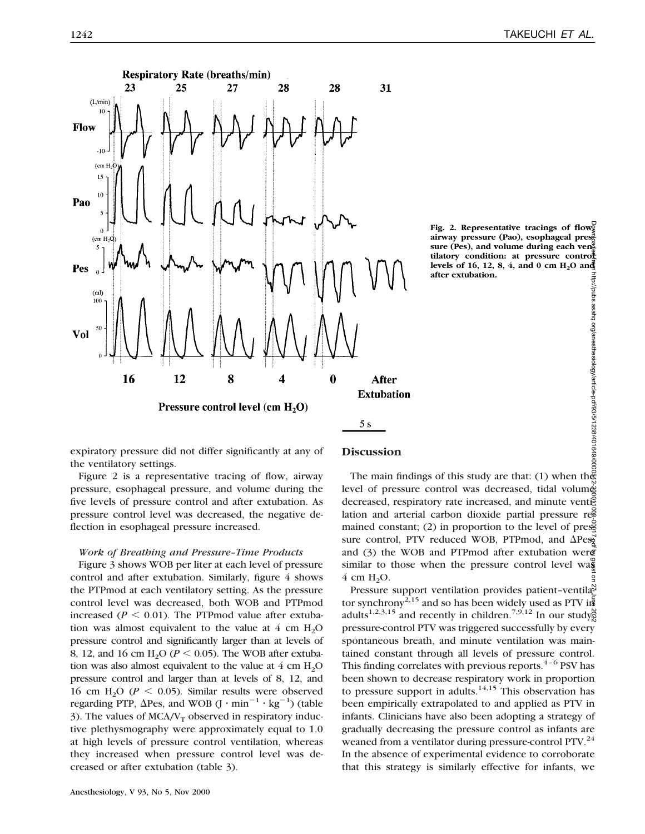

**Fig. 2. Representative tracings of flow,** airway pressure (Pao), esophageal press sure (Pes), and volume during each ven<sup>2</sup> **tilatory condition: at pressure control levels of 16, 12, 8, 4, and 0 cm H2O and after extubation.**

expiratory pressure did not differ significantly at any of the ventilatory settings.

Figure 2 is a representative tracing of flow, airway pressure, esophageal pressure, and volume during the five levels of pressure control and after extubation. As pressure control level was decreased, the negative deflection in esophageal pressure increased.

## *Work of Breathing and Pressure–Time Products*

Figure 3 shows WOB per liter at each level of pressure control and after extubation. Similarly, figure 4 shows the PTPmod at each ventilatory setting. As the pressure control level was decreased, both WOB and PTPmod increased ( $P < 0.01$ ). The PTPmod value after extubation was almost equivalent to the value at  $4 \text{ cm H}_2\text{O}$ pressure control and significantly larger than at levels of 8, 12, and 16 cm  $H<sub>2</sub>O$  ( $P < 0.05$ ). The WOB after extubation was also almost equivalent to the value at  $4 \text{ cm H}_2\text{O}$ pressure control and larger than at levels of 8, 12, and 16 cm H<sub>2</sub>O ( $P < 0.05$ ). Similar results were observed regarding PTP,  $\Delta$ Pes, and WOB (J · min<sup>-1</sup> · kg<sup>-1</sup>) (table 3). The values of  $MCA/V_T$  observed in respiratory inductive plethysmography were approximately equal to 1.0 at high levels of pressure control ventilation, whereas they increased when pressure control level was decreased or after extubation (table 3).

# **Discussion**

The main findings of this study are that: (1) when the level of pressure control was decreased, tidal volume decreased, respiratory rate increased, and minute ventilation and arterial carbon dioxide partial pressure  $r\ddot{\mathcal{E}}$ mained constant; (2) in proportion to the level of press sure control, PTV reduced WOB, PTPmod, and  $\Delta$ Pes<sub>2</sub> and (3) the WOB and PTPmod after extubation were similar to those when the pressure control level was  $4 \text{ cm H}_2\text{O}$ . Downloaded from http://pubs.asahq.org/anesthesiology/article-pdf/93/5/1238/401649/0000542-200011000-00017.pdf by guest on 27 June 2022

Pressure support ventilation provides patient-ventila<sup>3</sup> tor synchrony<sup>2,15</sup> and so has been widely used as PTV in adults<sup>1,2,3,15</sup> and recently in children.<sup>7,9,12</sup> In our study, pressure-control PTV was triggered successfully by every spontaneous breath, and minute ventilation was maintained constant through all levels of pressure control. This finding correlates with previous reports. $4-6$  PSV has been shown to decrease respiratory work in proportion to pressure support in adults.<sup>14,15</sup> This observation has been empirically extrapolated to and applied as PTV in infants. Clinicians have also been adopting a strategy of gradually decreasing the pressure control as infants are weaned from a ventilator during pressure-control PTV.<sup>24</sup> In the absence of experimental evidence to corroborate that this strategy is similarly effective for infants, we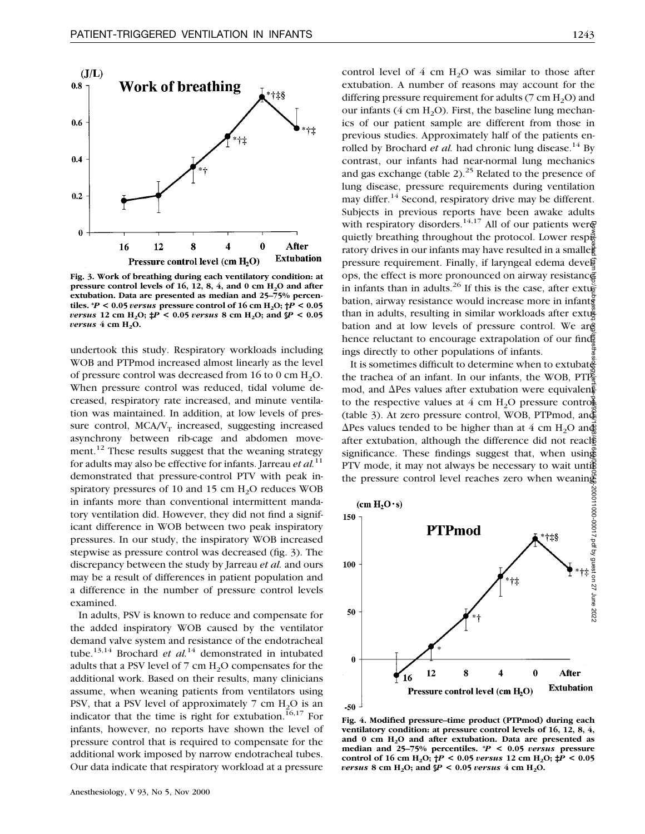

**Fig. 3. Work of breathing during each ventilatory condition: at pressure control levels of 16, 12, 8, 4, and 0 cm H<sub>2</sub>O and after extubation. Data are presented as median and 25–75% percentiles.**  $*P < 0.05$  *versus* pressure control of 16 cm  $H_2O$ ;  $\uparrow P < 0.05$ *versus* 12 cm  $H_2O$ ;  $\sharp P$  < 0.05 *versus* 8 cm  $H_2O$ ; and  $\oint P$  < 0.05 *versus*  $4 \text{ cm H}_2\text{O}$ .

undertook this study. Respiratory workloads including WOB and PTPmod increased almost linearly as the level of pressure control was decreased from 16 to 0 cm  $H_2O$ . When pressure control was reduced, tidal volume decreased, respiratory rate increased, and minute ventilation was maintained. In addition, at low levels of pressure control,  $MCA/V_T$  increased, suggesting increased asynchrony between rib-cage and abdomen movement.<sup>12</sup> These results suggest that the weaning strategy for adults may also be effective for infants. Jarreau *et al.*<sup>11</sup> demonstrated that pressure-control PTV with peak inspiratory pressures of 10 and 15 cm  $H<sub>2</sub>O$  reduces WOB in infants more than conventional intermittent mandatory ventilation did. However, they did not find a significant difference in WOB between two peak inspiratory pressures. In our study, the inspiratory WOB increased stepwise as pressure control was decreased (fig. 3). The discrepancy between the study by Jarreau *et al.* and ours may be a result of differences in patient population and a difference in the number of pressure control levels examined.

In adults, PSV is known to reduce and compensate for the added inspiratory WOB caused by the ventilator demand valve system and resistance of the endotracheal tube.<sup>13,14</sup> Brochard *et al.*<sup>14</sup> demonstrated in intubated adults that a PSV level of  $7 \text{ cm H}_2\text{O}$  compensates for the additional work. Based on their results, many clinicians assume, when weaning patients from ventilators using PSV, that a PSV level of approximately  $7 \text{ cm } H_2O$  is an indicator that the time is right for extubation.<sup>16,17</sup> For infants, however, no reports have shown the level of pressure control that is required to compensate for the additional work imposed by narrow endotracheal tubes. Our data indicate that respiratory workload at a pressure

control level of 4 cm  $H<sub>2</sub>O$  was similar to those after extubation. A number of reasons may account for the differing pressure requirement for adults (7 cm  $H_2O$ ) and our infants (4 cm  $H_2O$ ). First, the baseline lung mechanics of our patient sample are different from those in previous studies. Approximately half of the patients enrolled by Brochard *et al.* had chronic lung disease.<sup>14</sup> By contrast, our infants had near-normal lung mechanics and gas exchange (table  $2$ ).<sup>25</sup> Related to the presence of lung disease, pressure requirements during ventilation may differ.<sup>14</sup> Second, respiratory drive may be different. Subjects in previous reports have been awake adults with respiratory disorders.<sup>14,17</sup> All of our patients were quietly breathing throughout the protocol. Lower resp $\frac{3}{5}$ ratory drives in our infants may have resulted in a smaller pressure requirement. Finally, if laryngeal edema devel ops, the effect is more pronounced on airway resistance in infants than in adults.<sup>26</sup> If this is the case, after extual bation, airway resistance would increase more in infants than in adults, resulting in similar workloads after extug bation and at low levels of pressure control. We are hence reluctant to encourage extrapolation of our find ings directly to other populations of infants.

It is sometimes difficult to determine when to extubate the trachea of an infant. In our infants, the WOB,  $PTP_{\equiv}^{\mathcal{L}}$ mod, and  $\Delta$ Pes values after extubation were equivalent to the respective values at 4 cm  $H_2O$  pressure control (table 3). At zero pressure control, WOB, PTPmod, and  $\Delta$ Pes values tended to be higher than at 4 cm H<sub>2</sub>O and after extubation, although the difference did not reached significance. These findings suggest that, when using PTV mode, it may not always be necessary to wait untigourthe pressure control level reaches zero when weaning



**Fig. 4. Modified pressure–time product (PTPmod) during each ventilatory condition: at pressure control levels of 16, 12, 8, 4, and 0 cm H2O and after extubation. Data are presented as median and 25–75% percentiles. \****P* **< 0.05** *versus* **pressure control of 16 cm**  $H_2O$ **;**  $\uparrow P$  **< 0.05** *versus* **12 cm**  $H_2O$ **;**  $\downarrow P$  **< 0.05** *versus* 8 cm H<sub>2</sub>O; and  $P < 0.05$  *versus* 4 cm H<sub>2</sub>O.